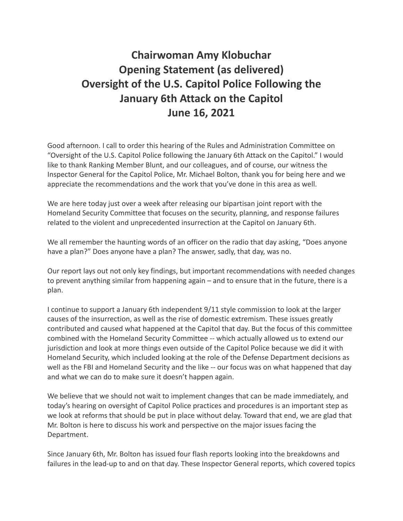## **Chairwoman Amy Klobuchar Opening Statement (as delivered) Oversight of the U.S. Capitol Police Following the January 6th Attack on the Capitol June 16, 2021**

Good afternoon. I call to order this hearing of the Rules and Administration Committee on "Oversight of the U.S. Capitol Police following the January 6th Attack on the Capitol." I would like to thank Ranking Member Blunt, and our colleagues, and of course, our witness the Inspector General for the Capitol Police, Mr. Michael Bolton, thank you for being here and we appreciate the recommendations and the work that you've done in this area as well.

We are here today just over a week after releasing our bipartisan joint report with the Homeland Security Committee that focuses on the security, planning, and response failures related to the violent and unprecedented insurrection at the Capitol on January 6th.

We all remember the haunting words of an officer on the radio that day asking, "Does anyone have a plan?" Does anyone have a plan? The answer, sadly, that day, was no.

Our report lays out not only key findings, but important recommendations with needed changes to prevent anything similar from happening again – and to ensure that in the future, there is a plan.

I continue to support a January 6th independent 9/11 style commission to look at the larger causes of the insurrection, as well as the rise of domestic extremism. These issues greatly contributed and caused what happened at the Capitol that day. But the focus of this committee combined with the Homeland Security Committee -- which actually allowed us to extend our jurisdiction and look at more things even outside of the Capitol Police because we did it with Homeland Security, which included looking at the role of the Defense Department decisions as well as the FBI and Homeland Security and the like -- our focus was on what happened that day and what we can do to make sure it doesn't happen again.

We believe that we should not wait to implement changes that can be made immediately, and today's hearing on oversight of Capitol Police practices and procedures is an important step as we look at reforms that should be put in place without delay. Toward that end, we are glad that Mr. Bolton is here to discuss his work and perspective on the major issues facing the Department.

Since January 6th, Mr. Bolton has issued four flash reports looking into the breakdowns and failures in the lead-up to and on that day. These Inspector General reports, which covered topics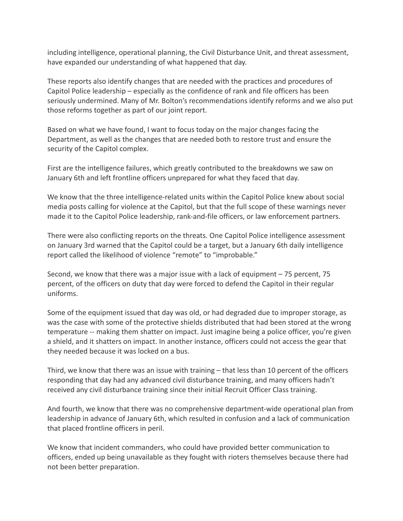including intelligence, operational planning, the Civil Disturbance Unit, and threat assessment, have expanded our understanding of what happened that day.

These reports also identify changes that are needed with the practices and procedures of Capitol Police leadership – especially as the confidence of rank and file officers has been seriously undermined. Many of Mr. Bolton's recommendations identify reforms and we also put those reforms together as part of our joint report.

Based on what we have found, I want to focus today on the major changes facing the Department, as well as the changes that are needed both to restore trust and ensure the security of the Capitol complex.

First are the intelligence failures, which greatly contributed to the breakdowns we saw on January 6th and left frontline officers unprepared for what they faced that day.

We know that the three intelligence-related units within the Capitol Police knew about social media posts calling for violence at the Capitol, but that the full scope of these warnings never made it to the Capitol Police leadership, rank-and-file officers, or law enforcement partners.

There were also conflicting reports on the threats. One Capitol Police intelligence assessment on January 3rd warned that the Capitol could be a target, but a January 6th daily intelligence report called the likelihood of violence "remote" to "improbable."

Second, we know that there was a major issue with a lack of equipment – 75 percent, 75 percent, of the officers on duty that day were forced to defend the Capitol in their regular uniforms.

Some of the equipment issued that day was old, or had degraded due to improper storage, as was the case with some of the protective shields distributed that had been stored at the wrong temperature -- making them shatter on impact. Just imagine being a police officer, you're given a shield, and it shatters on impact. In another instance, officers could not access the gear that they needed because it was locked on a bus.

Third, we know that there was an issue with training – that less than 10 percent of the officers responding that day had any advanced civil disturbance training, and many officers hadn't received any civil disturbance training since their initial Recruit Officer Class training.

And fourth, we know that there was no comprehensive department-wide operational plan from leadership in advance of January 6th, which resulted in confusion and a lack of communication that placed frontline officers in peril.

We know that incident commanders, who could have provided better communication to officers, ended up being unavailable as they fought with rioters themselves because there had not been better preparation.